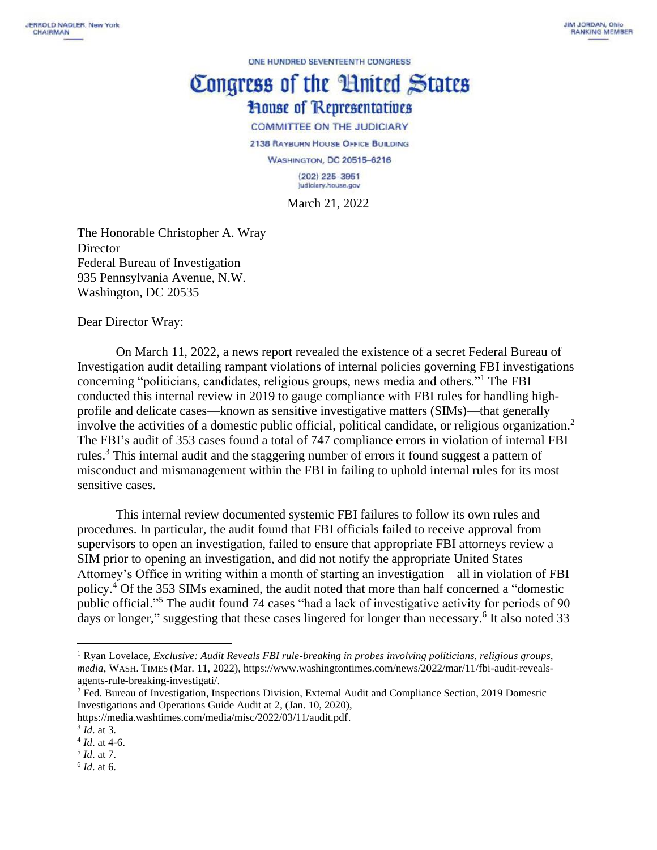ONE HUNDRED SEVENTEENTH CONGRESS

## Congress of the Huited States **House of Representatives COMMITTEE ON THE JUDICIARY**

2138 RAYBURN HOUSE OFFICE BUILDING **WASHINGTON, DC 20515-6216**  $(202)$  225-3951 Judiciary.house.gov

March 21, 2022

The Honorable Christopher A. Wray **Director** Federal Bureau of Investigation 935 Pennsylvania Avenue, N.W. Washington, DC 20535

Dear Director Wray:

On March 11, 2022, a news report revealed the existence of a secret Federal Bureau of Investigation audit detailing rampant violations of internal policies governing FBI investigations concerning "politicians, candidates, religious groups, news media and others."<sup>1</sup> The FBI conducted this internal review in 2019 to gauge compliance with FBI rules for handling highprofile and delicate cases—known as sensitive investigative matters (SIMs)—that generally involve the activities of a domestic public official, political candidate, or religious organization.<sup>2</sup> The FBI's audit of 353 cases found a total of 747 compliance errors in violation of internal FBI rules.<sup>3</sup> This internal audit and the staggering number of errors it found suggest a pattern of misconduct and mismanagement within the FBI in failing to uphold internal rules for its most sensitive cases.

This internal review documented systemic FBI failures to follow its own rules and procedures. In particular, the audit found that FBI officials failed to receive approval from supervisors to open an investigation, failed to ensure that appropriate FBI attorneys review a SIM prior to opening an investigation, and did not notify the appropriate United States Attorney's Office in writing within a month of starting an investigation—all in violation of FBI policy. <sup>4</sup> Of the 353 SIMs examined, the audit noted that more than half concerned a "domestic public official."<sup>5</sup> The audit found 74 cases "had a lack of investigative activity for periods of 90 days or longer," suggesting that these cases lingered for longer than necessary.<sup>6</sup> It also noted 33

<sup>1</sup> Ryan Lovelace, *Exclusive: Audit Reveals FBI rule-breaking in probes involving politicians, religious groups, media*, WASH. TIMES (Mar. 11, 2022), [https://www.washingtontimes.com/news/2022/mar/11/fbi-audit-reveals](https://www.washingtontimes.com/news/2022/mar/11/fbi-audit-reveals-agents-rule-breaking-investigati/)[agents-rule-breaking-investigati/.](https://www.washingtontimes.com/news/2022/mar/11/fbi-audit-reveals-agents-rule-breaking-investigati/)

<sup>&</sup>lt;sup>2</sup> Fed. Bureau of Investigation, Inspections Division, External Audit and Compliance Section, 2019 Domestic Investigations and Operations Guide Audit at 2, (Jan. 10, 2020),

[https://media.washtimes.com/media/misc/2022/03/11/audit.pdf.](https://media.washtimes.com/media/misc/2022/03/11/audit.pdf)

<sup>3</sup> *Id*. at 3.

<sup>4</sup> *Id*. at 4-6.

<sup>5</sup> *Id*. at 7.

<sup>6</sup> *Id*. at 6.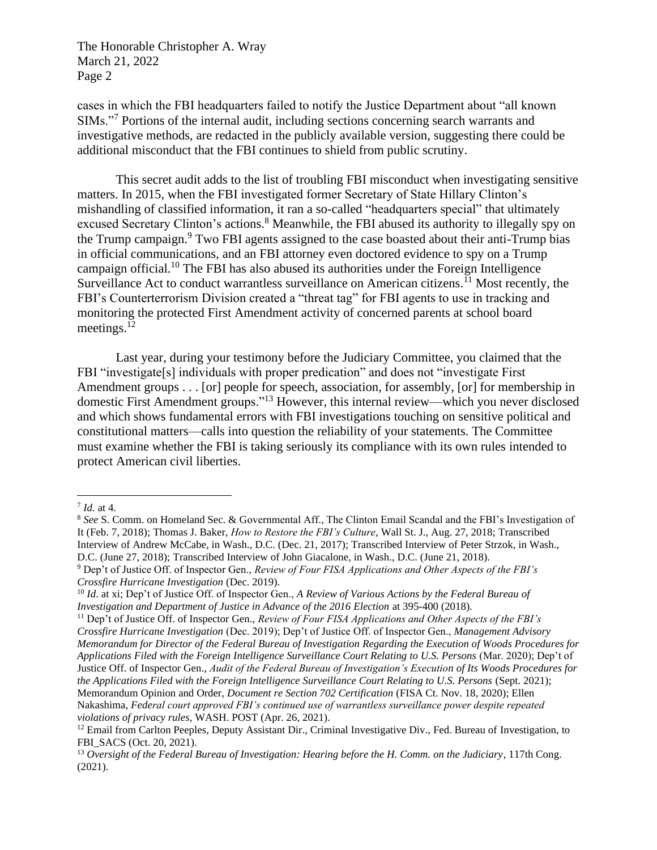The Honorable Christopher A. Wray March 21, 2022 Page 2

cases in which the FBI headquarters failed to notify the Justice Department about "all known SIMs."<sup>7</sup> Portions of the internal audit, including sections concerning search warrants and investigative methods, are redacted in the publicly available version, suggesting there could be additional misconduct that the FBI continues to shield from public scrutiny.

This secret audit adds to the list of troubling FBI misconduct when investigating sensitive matters. In 2015, when the FBI investigated former Secretary of State Hillary Clinton's mishandling of classified information, it ran a so-called "headquarters special" that ultimately excused Secretary Clinton's actions.<sup>8</sup> Meanwhile, the FBI abused its authority to illegally spy on the Trump campaign.<sup>9</sup> Two FBI agents assigned to the case boasted about their anti-Trump bias in official communications, and an FBI attorney even doctored evidence to spy on a Trump campaign official.<sup>10</sup> The FBI has also abused its authorities under the Foreign Intelligence Surveillance Act to conduct warrantless surveillance on American citizens.<sup>11</sup> Most recently, the FBI's Counterterrorism Division created a "threat tag" for FBI agents to use in tracking and monitoring the protected First Amendment activity of concerned parents at school board meetings.<sup>12</sup>

Last year, during your testimony before the Judiciary Committee, you claimed that the FBI "investigate[s] individuals with proper predication" and does not "investigate First Amendment groups . . . [or] people for speech, association, for assembly, [or] for membership in domestic First Amendment groups."<sup>13</sup> However, this internal review—which you never disclosed and which shows fundamental errors with FBI investigations touching on sensitive political and constitutional matters—calls into question the reliability of your statements. The Committee must examine whether the FBI is taking seriously its compliance with its own rules intended to protect American civil liberties.

<sup>7</sup> *Id.* at 4.

<sup>8</sup> *See* S. Comm. on Homeland Sec. & Governmental Aff., The Clinton Email Scandal and the FBI's Investigation of It (Feb. 7, 2018); Thomas J. Baker, *How to Restore the FBI's Culture*, Wall St. J., Aug. 27, 2018; Transcribed Interview of Andrew McCabe, in Wash., D.C. (Dec. 21, 2017); Transcribed Interview of Peter Strzok, in Wash., D.C. (June 27, 2018); Transcribed Interview of John Giacalone, in Wash., D.C. (June 21, 2018).

<sup>9</sup> Dep't of Justice Off. of Inspector Gen., *Review of Four FISA Applications and Other Aspects of the FBI's Crossfire Hurricane Investigation* (Dec. 2019).

<sup>10</sup> *Id*. at xi; Dep't of Justice Off. of Inspector Gen., *A Review of Various Actions by the Federal Bureau of Investigation and Department of Justice in Advance of the 2016 Election* at 395-400 (2018).

<sup>11</sup> Dep't of Justice Off. of Inspector Gen., *Review of Four FISA Applications and Other Aspects of the FBI's Crossfire Hurricane Investigation* (Dec. 2019); Dep't of Justice Off. of Inspector Gen., *Management Advisory Memorandum for Director of the Federal Bureau of Investigation Regarding the Execution of Woods Procedures for Applications Filed with the Foreign Intelligence Surveillance Court Relating to U.S. Persons* (Mar. 2020); Dep't of Justice Off. of Inspector Gen., *Audit of the Federal Bureau of Investigation's Execution of Its Woods Procedures for the Applications Filed with the Foreign Intelligence Surveillance Court Relating to U.S. Persons* (Sept. 2021); Memorandum Opinion and Order, *Document re Section 702 Certification* (FISA Ct. Nov. 18, 2020); Ellen Nakashima, *Federal court approved FBI's continued use of warrantless surveillance power despite repeated violations of privacy rules*, WASH. POST (Apr. 26, 2021).

 $12$  Email from Carlton Peeples, Deputy Assistant Dir., Criminal Investigative Div., Fed. Bureau of Investigation, to FBI\_SACS (Oct. 20, 2021).

<sup>13</sup> *Oversight of the Federal Bureau of Investigation: Hearing before the H. Comm. on the Judiciary*, 117th Cong. (2021).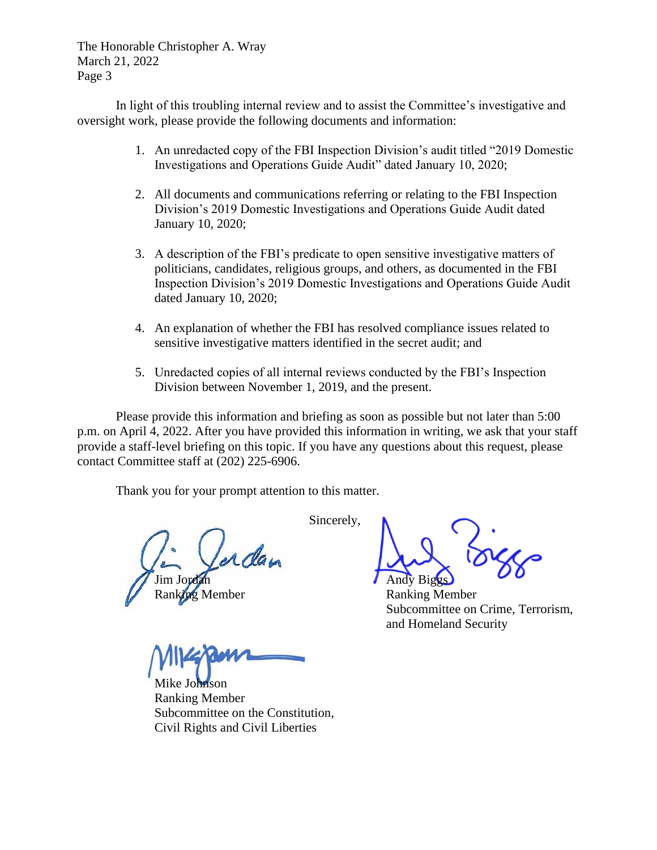The Honorable Christopher A. Wray March 21, 2022 Page 3

In light of this troubling internal review and to assist the Committee's investigative and oversight work, please provide the following documents and information:

- 1. An unredacted copy of the FBI Inspection Division's audit titled "2019 Domestic Investigations and Operations Guide Audit" dated January 10, 2020;
- 2. All documents and communications referring or relating to the FBI Inspection Division's 2019 Domestic Investigations and Operations Guide Audit dated January 10, 2020;
- 3. A description of the FBI's predicate to open sensitive investigative matters of politicians, candidates, religious groups, and others, as documented in the FBI Inspection Division's 2019 Domestic Investigations and Operations Guide Audit dated January 10, 2020;
- 4. An explanation of whether the FBI has resolved compliance issues related to sensitive investigative matters identified in the secret audit; and
- 5. Unredacted copies of all internal reviews conducted by the FBI's Inspection Division between November 1, 2019, and the present.

Please provide this information and briefing as soon as possible but not later than 5:00 p.m. on April 4, 2022. After you have provided this information in writing, we ask that your staff provide a staff-level briefing on this topic. If you have any questions about this request, please contact Committee staff at (202) 225-6906.

Thank you for your prompt attention to this matter.

Johnson Ranking Member Subcommittee on the Constitution, Civil Rights and Civil Liberties

Sincerely, Andy Bigg

Ranking Member Ranking Member Subcommittee on Crime, Terrorism, and Homeland Security